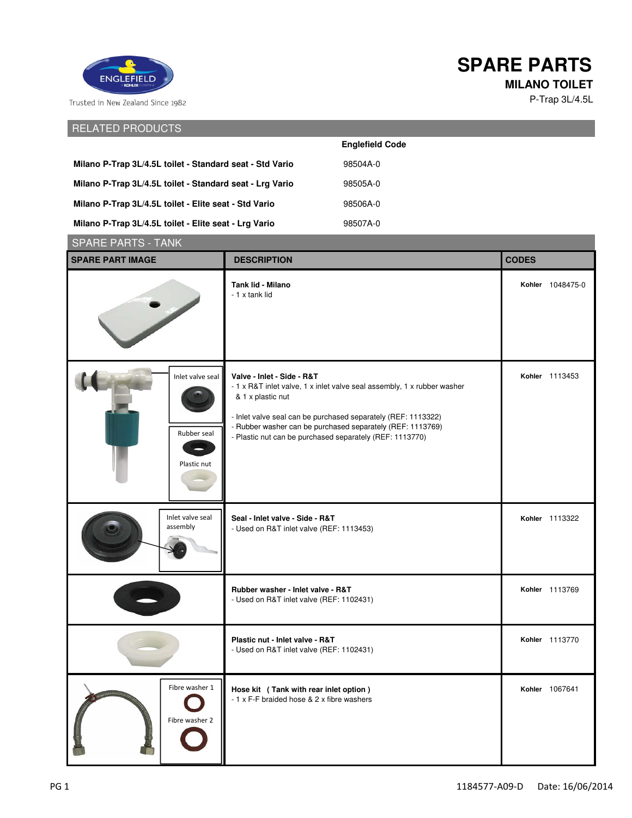

## **SPARE PARTS**

**MILANO TOILET**

P-Trap 3L/4.5L

RELATED PRODUCTS

|                                                          | <b>Englefield Code</b> |
|----------------------------------------------------------|------------------------|
| Milano P-Trap 3L/4.5L toilet - Standard seat - Std Vario | 98504A-0               |
| Milano P-Trap 3L/4.5L toilet - Standard seat - Lrg Vario | 98505A-0               |
| Milano P-Trap 3L/4.5L toilet - Elite seat - Std Vario    | 98506A-0               |
| Milano P-Trap 3L/4.5L toilet - Elite seat - Lrg Vario    | 98507A-0               |

| <b>SPARE PARTS - TANK</b>                      |                                                                                                                                                                                                                                                                                                                       |                  |  |
|------------------------------------------------|-----------------------------------------------------------------------------------------------------------------------------------------------------------------------------------------------------------------------------------------------------------------------------------------------------------------------|------------------|--|
| <b>SPARE PART IMAGE</b>                        | <b>DESCRIPTION</b>                                                                                                                                                                                                                                                                                                    | <b>CODES</b>     |  |
|                                                | Tank lid - Milano<br>- 1 x tank lid                                                                                                                                                                                                                                                                                   | Kohler 1048475-0 |  |
| Inlet valve seal<br>Rubber seal<br>Plastic nut | Valve - Inlet - Side - R&T<br>- 1 x R&T inlet valve, 1 x inlet valve seal assembly, 1 x rubber washer<br>& 1 x plastic nut<br>- Inlet valve seal can be purchased separately (REF: 1113322)<br>- Rubber washer can be purchased separately (REF: 1113769)<br>- Plastic nut can be purchased separately (REF: 1113770) | Kohler 1113453   |  |
| Inlet valve seal<br>assembly                   | Seal - Inlet valve - Side - R&T<br>- Used on R&T inlet valve (REF: 1113453)                                                                                                                                                                                                                                           | Kohler 1113322   |  |
|                                                | Rubber washer - Inlet valve - R&T<br>- Used on R&T inlet valve (REF: 1102431)                                                                                                                                                                                                                                         | Kohler 1113769   |  |
|                                                | Plastic nut - Inlet valve - R&T<br>- Used on R&T inlet valve (REF: 1102431)                                                                                                                                                                                                                                           | Kohler 1113770   |  |
| Fibre washer 1<br>Fibre washer 2               | Hose kit (Tank with rear inlet option)<br>- 1 x F-F braided hose & 2 x fibre washers                                                                                                                                                                                                                                  | Kohler 1067641   |  |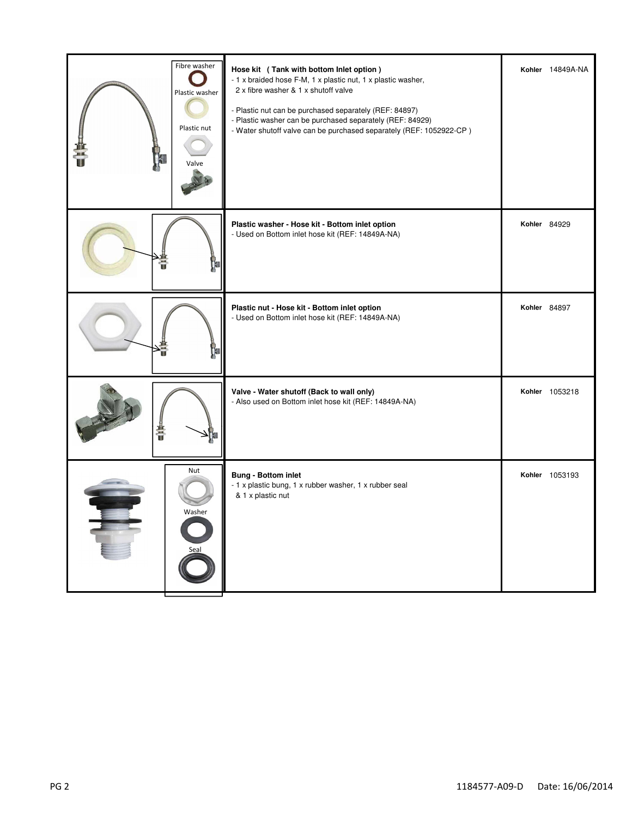| Fibre washer<br>Plastic washer<br>Plastic nut<br>Valve | Hose kit (Tank with bottom Inlet option)<br>- 1 x braided hose F-M, 1 x plastic nut, 1 x plastic washer,<br>2 x fibre washer & 1 x shutoff valve<br>- Plastic nut can be purchased separately (REF: 84897)<br>- Plastic washer can be purchased separately (REF: 84929)<br>- Water shutoff valve can be purchased separately (REF: 1052922-CP) | Kohler 14849A-NA    |
|--------------------------------------------------------|------------------------------------------------------------------------------------------------------------------------------------------------------------------------------------------------------------------------------------------------------------------------------------------------------------------------------------------------|---------------------|
| Ť                                                      | Plastic washer - Hose kit - Bottom inlet option<br>- Used on Bottom inlet hose kit (REF: 14849A-NA)                                                                                                                                                                                                                                            | <b>Kohler 84929</b> |
|                                                        | Plastic nut - Hose kit - Bottom inlet option<br>- Used on Bottom inlet hose kit (REF: 14849A-NA)                                                                                                                                                                                                                                               | Kohler 84897        |
| 普通                                                     | Valve - Water shutoff (Back to wall only)<br>- Also used on Bottom inlet hose kit (REF: 14849A-NA)                                                                                                                                                                                                                                             | Kohler 1053218      |
| Nut<br>Washer<br>Seal                                  | <b>Bung - Bottom inlet</b><br>- 1 x plastic bung, 1 x rubber washer, 1 x rubber seal<br>& 1 x plastic nut                                                                                                                                                                                                                                      | Kohler 1053193      |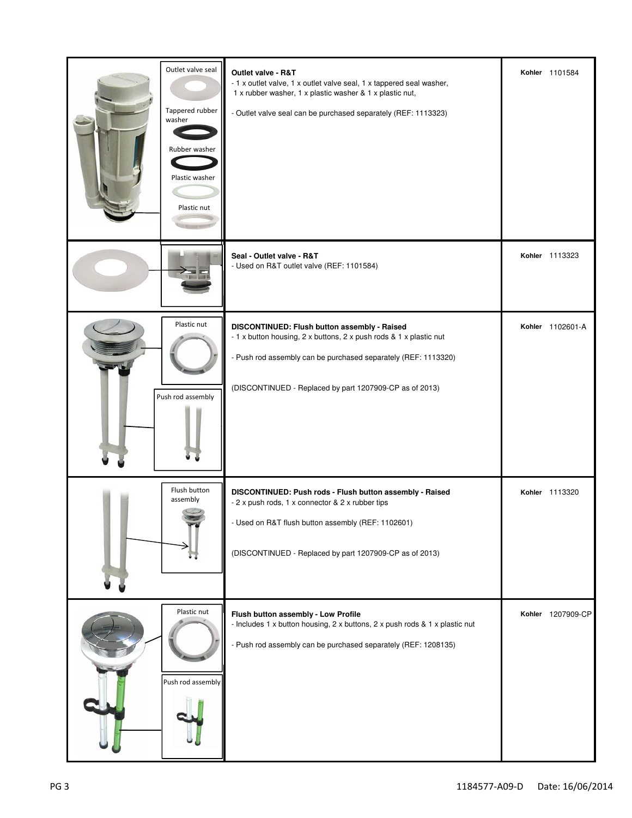| Outlet valve seal<br>Tappered rubber<br>washer<br>Rubber washer<br>Plastic washer<br>Plastic nut | Outlet valve - R&T<br>- 1 x outlet valve, 1 x outlet valve seal, 1 x tappered seal washer,<br>1 x rubber washer, 1 x plastic washer & 1 x plastic nut,<br>- Outlet valve seal can be purchased separately (REF: 1113323)                        | Kohler 1101584    |
|--------------------------------------------------------------------------------------------------|-------------------------------------------------------------------------------------------------------------------------------------------------------------------------------------------------------------------------------------------------|-------------------|
| 7 T F                                                                                            | Seal - Outlet valve - R&T<br>- Used on R&T outlet valve (REF: 1101584)                                                                                                                                                                          | Kohler 1113323    |
| Plastic nut<br>Push rod assembly                                                                 | DISCONTINUED: Flush button assembly - Raised<br>- 1 x button housing, 2 x buttons, 2 x push rods & 1 x plastic nut<br>- Push rod assembly can be purchased separately (REF: 1113320)<br>(DISCONTINUED - Replaced by part 1207909-CP as of 2013) | Kohler 1102601-A  |
| Flush button<br>assembly                                                                         | DISCONTINUED: Push rods - Flush button assembly - Raised<br>- 2 x push rods, 1 x connector & 2 x rubber tips<br>- Used on R&T flush button assembly (REF: 1102601)<br>(DISCONTINUED - Replaced by part 1207909-CP as of 2013)                   | Kohler 1113320    |
| Plastic nut<br>Push rod assembly                                                                 | Flush button assembly - Low Profile<br>- Includes 1 x button housing, 2 x buttons, 2 x push rods & 1 x plastic nut<br>- Push rod assembly can be purchased separately (REF: 1208135)                                                            | Kohler 1207909-CP |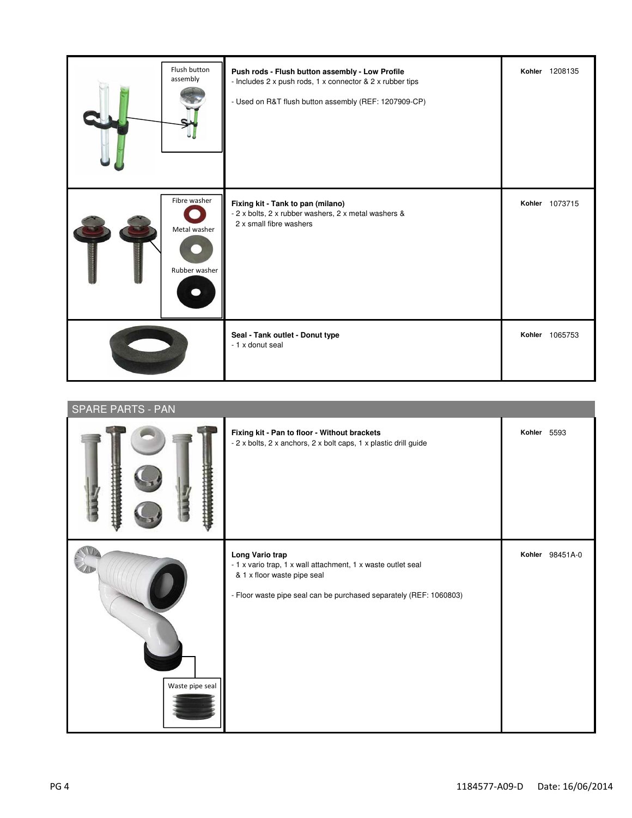| Flush button<br>assembly                      | Push rods - Flush button assembly - Low Profile<br>- Includes 2 x push rods, 1 x connector & 2 x rubber tips<br>- Used on R&T flush button assembly (REF: 1207909-CP) | Kohler 1208135 |
|-----------------------------------------------|-----------------------------------------------------------------------------------------------------------------------------------------------------------------------|----------------|
| Fibre washer<br>Metal washer<br>Rubber washer | Fixing kit - Tank to pan (milano)<br>- 2 x bolts, 2 x rubber washers, 2 x metal washers &<br>2 x small fibre washers                                                  | Kohler 1073715 |
|                                               | Seal - Tank outlet - Donut type<br>- 1 x donut seal                                                                                                                   | Kohler 1065753 |

| <b>SPARE PARTS - PAN</b> |                                                                                                                                                                                      |                 |  |
|--------------------------|--------------------------------------------------------------------------------------------------------------------------------------------------------------------------------------|-----------------|--|
|                          | Fixing kit - Pan to floor - Without brackets<br>- 2 x bolts, 2 x anchors, 2 x bolt caps, 1 x plastic drill guide                                                                     | Kohler 5593     |  |
| Waste pipe seal          | Long Vario trap<br>- 1 x vario trap, 1 x wall attachment, 1 x waste outlet seal<br>& 1 x floor waste pipe seal<br>- Floor waste pipe seal can be purchased separately (REF: 1060803) | Kohler 98451A-0 |  |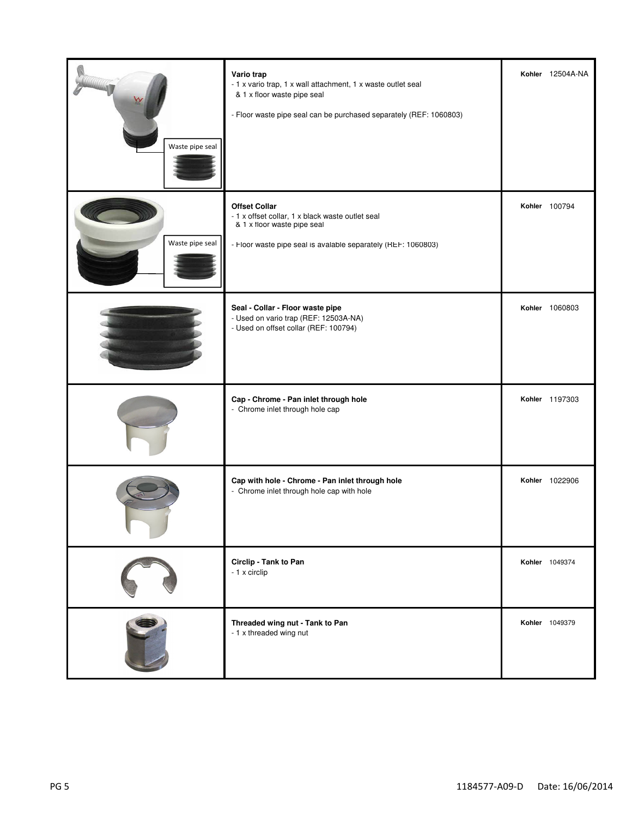| Waste pipe seal | Vario trap<br>- 1 x vario trap, 1 x wall attachment, 1 x waste outlet seal<br>& 1 x floor waste pipe seal<br>- Floor waste pipe seal can be purchased separately (REF: 1060803) | Kohler 12504A-NA |
|-----------------|---------------------------------------------------------------------------------------------------------------------------------------------------------------------------------|------------------|
| Waste pipe seal | <b>Offset Collar</b><br>- 1 x offset collar, 1 x black waste outlet seal<br>& 1 x floor waste pipe seal<br>- Floor waste pipe seal is avalable separately (REF: 1060803)        | Kohler 100794    |
|                 | Seal - Collar - Floor waste pipe<br>- Used on vario trap (REF: 12503A-NA)<br>- Used on offset collar (REF: 100794)                                                              | Kohler 1060803   |
|                 | Cap - Chrome - Pan inlet through hole<br>- Chrome inlet through hole cap                                                                                                        | Kohler 1197303   |
|                 | Cap with hole - Chrome - Pan inlet through hole<br>- Chrome inlet through hole cap with hole                                                                                    | Kohler 1022906   |
|                 | Circlip - Tank to Pan<br>- 1 x circlip                                                                                                                                          | Kohler 1049374   |
|                 | Threaded wing nut - Tank to Pan<br>- 1 x threaded wing nut                                                                                                                      | Kohler 1049379   |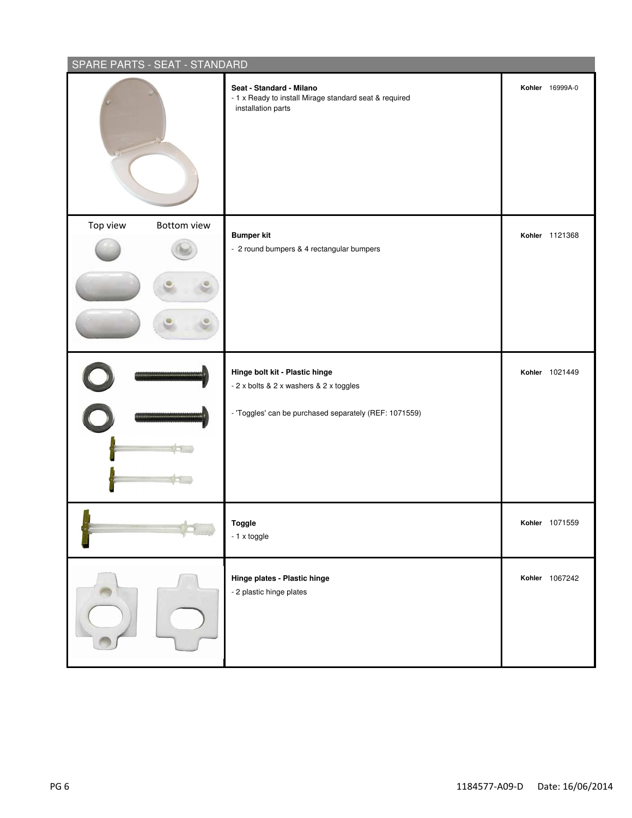| SPARE PARTS - SEAT - STANDARD |                                                                                                          |                       |
|-------------------------------|----------------------------------------------------------------------------------------------------------|-----------------------|
|                               | Seat - Standard - Milano<br>- 1 x Ready to install Mirage standard seat & required<br>installation parts | Kohler 16999A-0       |
| Top view<br>Bottom view       | <b>Bumper kit</b><br>- 2 round bumpers & 4 rectangular bumpers                                           | Kohler 1121368        |
|                               |                                                                                                          |                       |
|                               |                                                                                                          |                       |
|                               | Hinge bolt kit - Plastic hinge<br>- 2 x bolts & 2 x washers & 2 x toggles                                | Kohler 1021449        |
|                               | - 'Toggles' can be purchased separately (REF: 1071559)                                                   |                       |
|                               | Toggle<br>- 1 x toggle                                                                                   | <b>Kohler</b> 10/1559 |
|                               | Hinge plates - Plastic hinge<br>- 2 plastic hinge plates                                                 | Kohler 1067242        |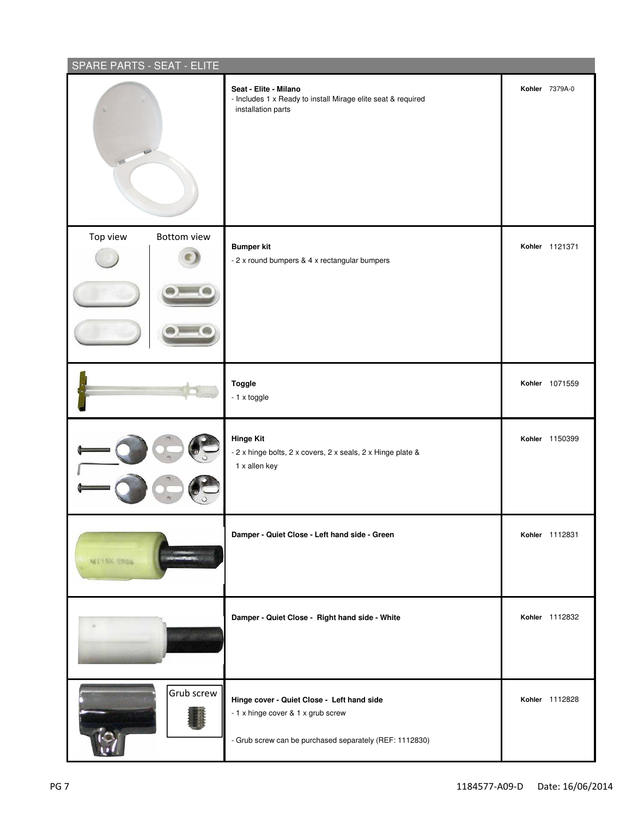| SPARE PARTS - SEAT - ELITE |                                                                                                                                             |                       |  |
|----------------------------|---------------------------------------------------------------------------------------------------------------------------------------------|-----------------------|--|
| 1                          | Seat - Elite - Milano<br>- Includes 1 x Ready to install Mirage elite seat & required<br>installation parts                                 | <b>Kohler</b> 7379A-0 |  |
| Top view<br>Bottom view    | <b>Bumper kit</b><br>- 2 x round bumpers & 4 x rectangular bumpers                                                                          | Kohler 1121371        |  |
|                            | <b>Toggle</b><br>- 1 x toggle                                                                                                               | Kohler 1071559        |  |
|                            | <b>Hinge Kit</b><br>- 2 x hinge bolts, 2 x covers, 2 x seals, 2 x Hinge plate &<br>1 x allen key                                            | Kohler 1150399        |  |
| MT15K-0806                 | Damper - Quiet Close - Left hand side - Green                                                                                               | Kohler 1112831        |  |
|                            | Damper - Quiet Close - Right hand side - White                                                                                              | Kohler 1112832        |  |
| Grub screw                 | Hinge cover - Quiet Close - Left hand side<br>- 1 x hinge cover & 1 x grub screw<br>- Grub screw can be purchased separately (REF: 1112830) | Kohler 1112828        |  |